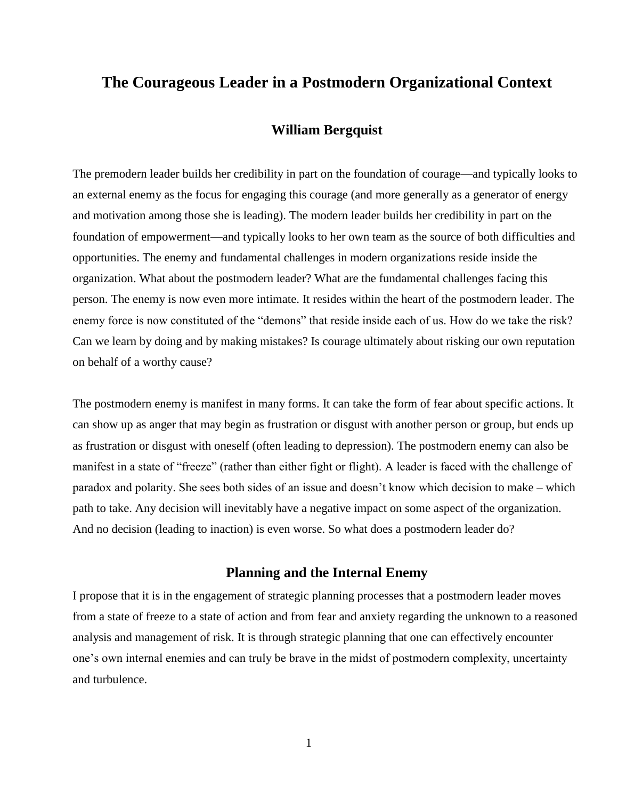# **The Courageous Leader in a Postmodern Organizational Context**

## **William Bergquist**

The premodern leader builds her credibility in part on the foundation of courage—and typically looks to an external enemy as the focus for engaging this courage (and more generally as a generator of energy and motivation among those she is leading). The modern leader builds her credibility in part on the foundation of empowerment—and typically looks to her own team as the source of both difficulties and opportunities. The enemy and fundamental challenges in modern organizations reside inside the organization. What about the postmodern leader? What are the fundamental challenges facing this person. The enemy is now even more intimate. It resides within the heart of the postmodern leader. The enemy force is now constituted of the "demons" that reside inside each of us. How do we take the risk? Can we learn by doing and by making mistakes? Is courage ultimately about risking our own reputation on behalf of a worthy cause?

The postmodern enemy is manifest in many forms. It can take the form of fear about specific actions. It can show up as anger that may begin as frustration or disgust with another person or group, but ends up as frustration or disgust with oneself (often leading to depression). The postmodern enemy can also be manifest in a state of "freeze" (rather than either fight or flight). A leader is faced with the challenge of paradox and polarity. She sees both sides of an issue and doesn't know which decision to make – which path to take. Any decision will inevitably have a negative impact on some aspect of the organization. And no decision (leading to inaction) is even worse. So what does a postmodern leader do?

#### **Planning and the Internal Enemy**

I propose that it is in the engagement of strategic planning processes that a postmodern leader moves from a state of freeze to a state of action and from fear and anxiety regarding the unknown to a reasoned analysis and management of risk. It is through strategic planning that one can effectively encounter one's own internal enemies and can truly be brave in the midst of postmodern complexity, uncertainty and turbulence.

1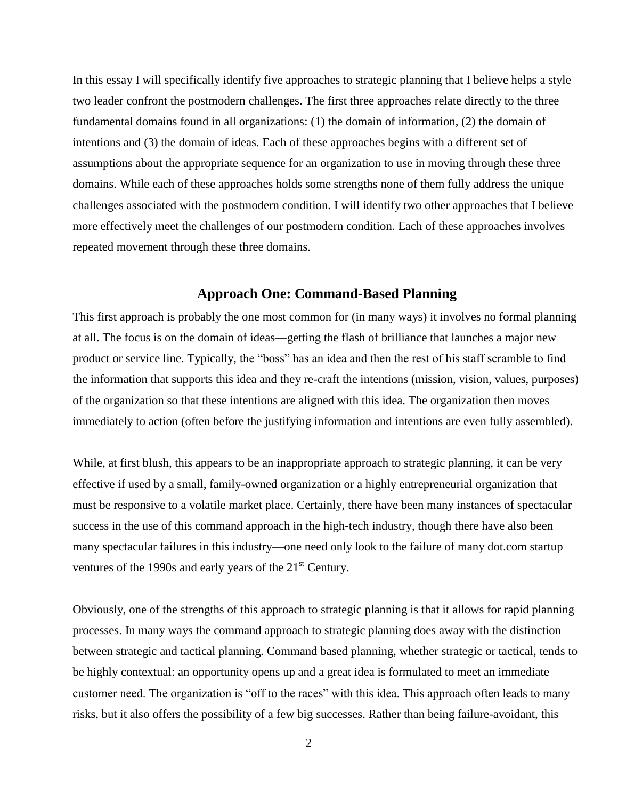In this essay I will specifically identify five approaches to strategic planning that I believe helps a style two leader confront the postmodern challenges. The first three approaches relate directly to the three fundamental domains found in all organizations: (1) the domain of information, (2) the domain of intentions and (3) the domain of ideas. Each of these approaches begins with a different set of assumptions about the appropriate sequence for an organization to use in moving through these three domains. While each of these approaches holds some strengths none of them fully address the unique challenges associated with the postmodern condition. I will identify two other approaches that I believe more effectively meet the challenges of our postmodern condition. Each of these approaches involves repeated movement through these three domains.

#### **Approach One: Command-Based Planning**

This first approach is probably the one most common for (in many ways) it involves no formal planning at all. The focus is on the domain of ideas—getting the flash of brilliance that launches a major new product or service line. Typically, the "boss" has an idea and then the rest of his staff scramble to find the information that supports this idea and they re-craft the intentions (mission, vision, values, purposes) of the organization so that these intentions are aligned with this idea. The organization then moves immediately to action (often before the justifying information and intentions are even fully assembled).

While, at first blush, this appears to be an inappropriate approach to strategic planning, it can be very effective if used by a small, family-owned organization or a highly entrepreneurial organization that must be responsive to a volatile market place. Certainly, there have been many instances of spectacular success in the use of this command approach in the high-tech industry, though there have also been many spectacular failures in this industry—one need only look to the failure of many dot.com startup ventures of the 1990s and early years of the 21<sup>st</sup> Century.

Obviously, one of the strengths of this approach to strategic planning is that it allows for rapid planning processes. In many ways the command approach to strategic planning does away with the distinction between strategic and tactical planning. Command based planning, whether strategic or tactical, tends to be highly contextual: an opportunity opens up and a great idea is formulated to meet an immediate customer need. The organization is "off to the races" with this idea. This approach often leads to many risks, but it also offers the possibility of a few big successes. Rather than being failure-avoidant, this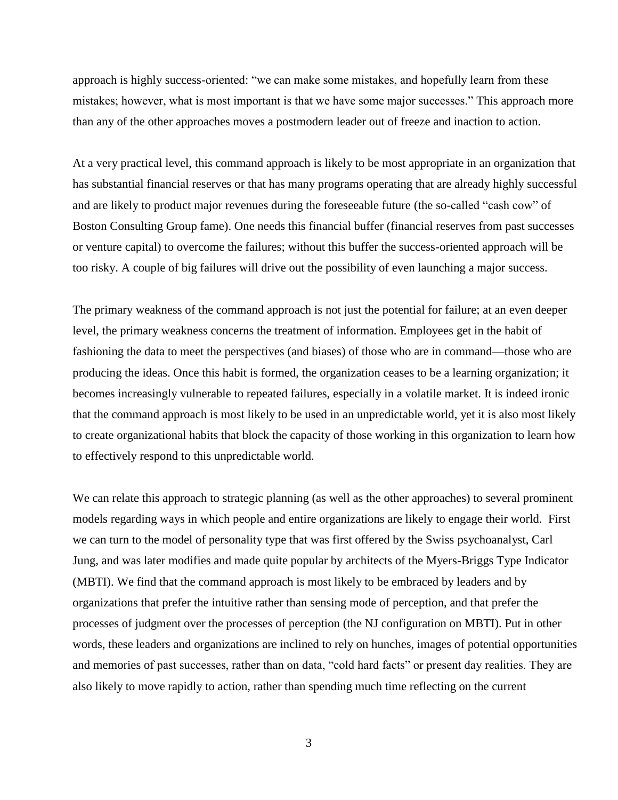approach is highly success-oriented: "we can make some mistakes, and hopefully learn from these mistakes; however, what is most important is that we have some major successes." This approach more than any of the other approaches moves a postmodern leader out of freeze and inaction to action.

At a very practical level, this command approach is likely to be most appropriate in an organization that has substantial financial reserves or that has many programs operating that are already highly successful and are likely to product major revenues during the foreseeable future (the so-called "cash cow" of Boston Consulting Group fame). One needs this financial buffer (financial reserves from past successes or venture capital) to overcome the failures; without this buffer the success-oriented approach will be too risky. A couple of big failures will drive out the possibility of even launching a major success.

The primary weakness of the command approach is not just the potential for failure; at an even deeper level, the primary weakness concerns the treatment of information. Employees get in the habit of fashioning the data to meet the perspectives (and biases) of those who are in command—those who are producing the ideas. Once this habit is formed, the organization ceases to be a learning organization; it becomes increasingly vulnerable to repeated failures, especially in a volatile market. It is indeed ironic that the command approach is most likely to be used in an unpredictable world, yet it is also most likely to create organizational habits that block the capacity of those working in this organization to learn how to effectively respond to this unpredictable world.

We can relate this approach to strategic planning (as well as the other approaches) to several prominent models regarding ways in which people and entire organizations are likely to engage their world. First we can turn to the model of personality type that was first offered by the Swiss psychoanalyst, Carl Jung, and was later modifies and made quite popular by architects of the Myers-Briggs Type Indicator (MBTI). We find that the command approach is most likely to be embraced by leaders and by organizations that prefer the intuitive rather than sensing mode of perception, and that prefer the processes of judgment over the processes of perception (the NJ configuration on MBTI). Put in other words, these leaders and organizations are inclined to rely on hunches, images of potential opportunities and memories of past successes, rather than on data, "cold hard facts" or present day realities. They are also likely to move rapidly to action, rather than spending much time reflecting on the current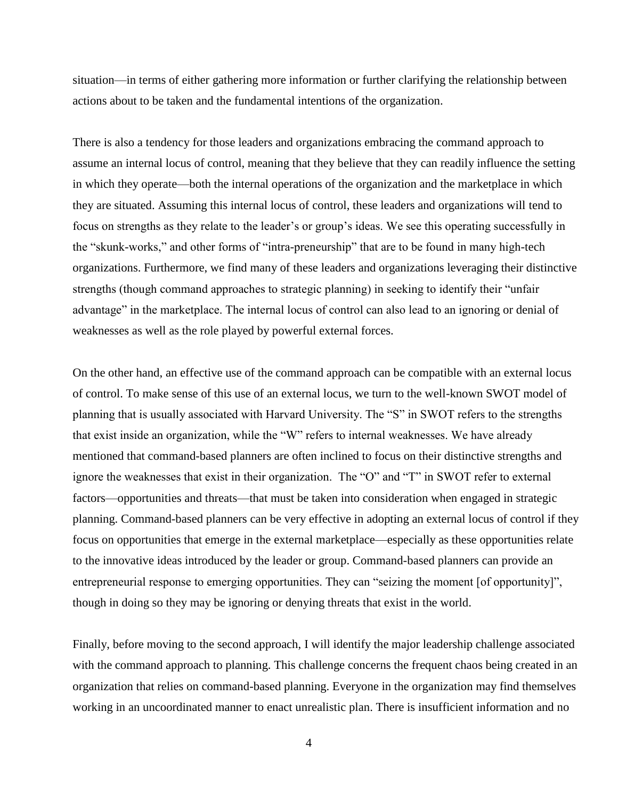situation—in terms of either gathering more information or further clarifying the relationship between actions about to be taken and the fundamental intentions of the organization.

There is also a tendency for those leaders and organizations embracing the command approach to assume an internal locus of control, meaning that they believe that they can readily influence the setting in which they operate—both the internal operations of the organization and the marketplace in which they are situated. Assuming this internal locus of control, these leaders and organizations will tend to focus on strengths as they relate to the leader's or group's ideas. We see this operating successfully in the "skunk-works," and other forms of "intra-preneurship" that are to be found in many high-tech organizations. Furthermore, we find many of these leaders and organizations leveraging their distinctive strengths (though command approaches to strategic planning) in seeking to identify their "unfair advantage" in the marketplace. The internal locus of control can also lead to an ignoring or denial of weaknesses as well as the role played by powerful external forces.

On the other hand, an effective use of the command approach can be compatible with an external locus of control. To make sense of this use of an external locus, we turn to the well-known SWOT model of planning that is usually associated with Harvard University. The "S" in SWOT refers to the strengths that exist inside an organization, while the "W" refers to internal weaknesses. We have already mentioned that command-based planners are often inclined to focus on their distinctive strengths and ignore the weaknesses that exist in their organization. The "O" and "T" in SWOT refer to external factors—opportunities and threats—that must be taken into consideration when engaged in strategic planning. Command-based planners can be very effective in adopting an external locus of control if they focus on opportunities that emerge in the external marketplace—especially as these opportunities relate to the innovative ideas introduced by the leader or group. Command-based planners can provide an entrepreneurial response to emerging opportunities. They can "seizing the moment [of opportunity]", though in doing so they may be ignoring or denying threats that exist in the world.

Finally, before moving to the second approach, I will identify the major leadership challenge associated with the command approach to planning. This challenge concerns the frequent chaos being created in an organization that relies on command-based planning. Everyone in the organization may find themselves working in an uncoordinated manner to enact unrealistic plan. There is insufficient information and no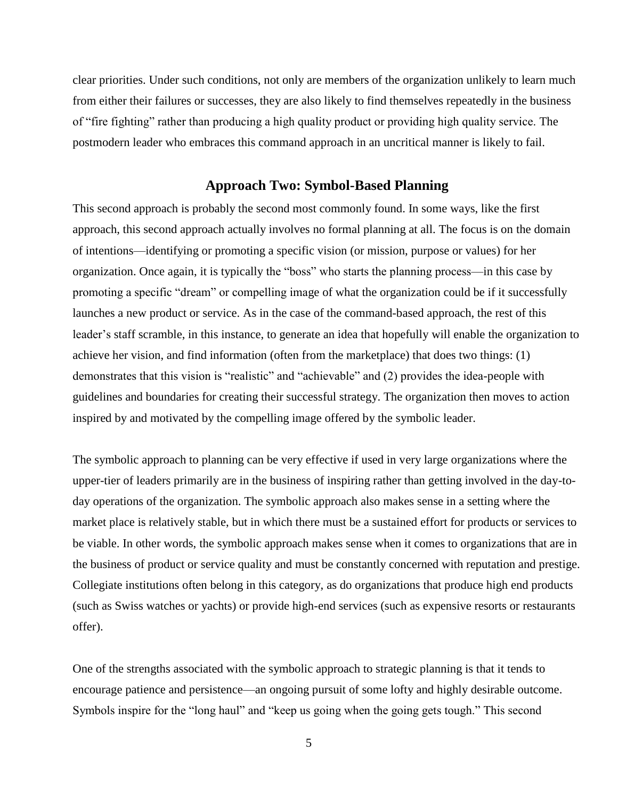clear priorities. Under such conditions, not only are members of the organization unlikely to learn much from either their failures or successes, they are also likely to find themselves repeatedly in the business of "fire fighting" rather than producing a high quality product or providing high quality service. The postmodern leader who embraces this command approach in an uncritical manner is likely to fail.

# **Approach Two: Symbol-Based Planning**

This second approach is probably the second most commonly found. In some ways, like the first approach, this second approach actually involves no formal planning at all. The focus is on the domain of intentions—identifying or promoting a specific vision (or mission, purpose or values) for her organization. Once again, it is typically the "boss" who starts the planning process—in this case by promoting a specific "dream" or compelling image of what the organization could be if it successfully launches a new product or service. As in the case of the command-based approach, the rest of this leader's staff scramble, in this instance, to generate an idea that hopefully will enable the organization to achieve her vision, and find information (often from the marketplace) that does two things: (1) demonstrates that this vision is "realistic" and "achievable" and (2) provides the idea-people with guidelines and boundaries for creating their successful strategy. The organization then moves to action inspired by and motivated by the compelling image offered by the symbolic leader.

The symbolic approach to planning can be very effective if used in very large organizations where the upper-tier of leaders primarily are in the business of inspiring rather than getting involved in the day-today operations of the organization. The symbolic approach also makes sense in a setting where the market place is relatively stable, but in which there must be a sustained effort for products or services to be viable. In other words, the symbolic approach makes sense when it comes to organizations that are in the business of product or service quality and must be constantly concerned with reputation and prestige. Collegiate institutions often belong in this category, as do organizations that produce high end products (such as Swiss watches or yachts) or provide high-end services (such as expensive resorts or restaurants offer).

One of the strengths associated with the symbolic approach to strategic planning is that it tends to encourage patience and persistence—an ongoing pursuit of some lofty and highly desirable outcome. Symbols inspire for the "long haul" and "keep us going when the going gets tough." This second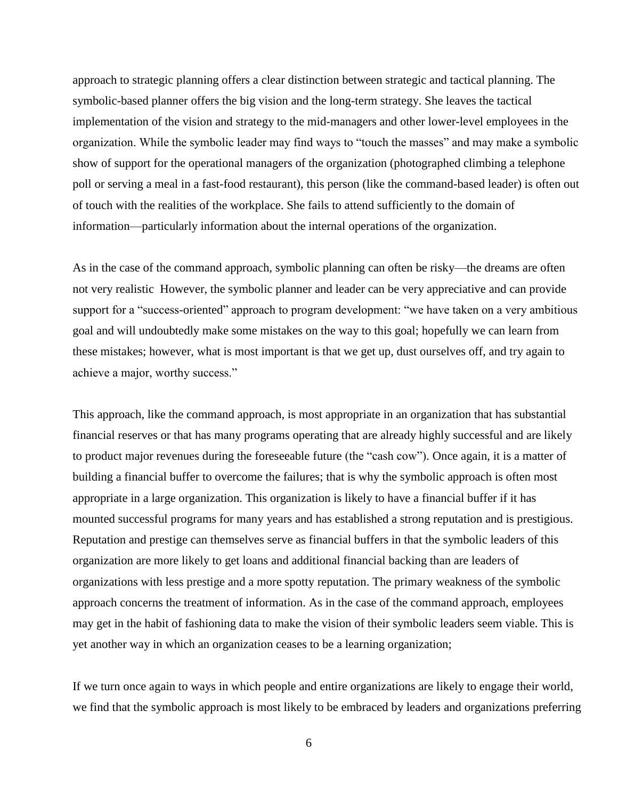approach to strategic planning offers a clear distinction between strategic and tactical planning. The symbolic-based planner offers the big vision and the long-term strategy. She leaves the tactical implementation of the vision and strategy to the mid-managers and other lower-level employees in the organization. While the symbolic leader may find ways to "touch the masses" and may make a symbolic show of support for the operational managers of the organization (photographed climbing a telephone poll or serving a meal in a fast-food restaurant), this person (like the command-based leader) is often out of touch with the realities of the workplace. She fails to attend sufficiently to the domain of information—particularly information about the internal operations of the organization.

As in the case of the command approach, symbolic planning can often be risky—the dreams are often not very realistic However, the symbolic planner and leader can be very appreciative and can provide support for a "success-oriented" approach to program development: "we have taken on a very ambitious goal and will undoubtedly make some mistakes on the way to this goal; hopefully we can learn from these mistakes; however, what is most important is that we get up, dust ourselves off, and try again to achieve a major, worthy success."

This approach, like the command approach, is most appropriate in an organization that has substantial financial reserves or that has many programs operating that are already highly successful and are likely to product major revenues during the foreseeable future (the "cash cow"). Once again, it is a matter of building a financial buffer to overcome the failures; that is why the symbolic approach is often most appropriate in a large organization. This organization is likely to have a financial buffer if it has mounted successful programs for many years and has established a strong reputation and is prestigious. Reputation and prestige can themselves serve as financial buffers in that the symbolic leaders of this organization are more likely to get loans and additional financial backing than are leaders of organizations with less prestige and a more spotty reputation. The primary weakness of the symbolic approach concerns the treatment of information. As in the case of the command approach, employees may get in the habit of fashioning data to make the vision of their symbolic leaders seem viable. This is yet another way in which an organization ceases to be a learning organization;

If we turn once again to ways in which people and entire organizations are likely to engage their world, we find that the symbolic approach is most likely to be embraced by leaders and organizations preferring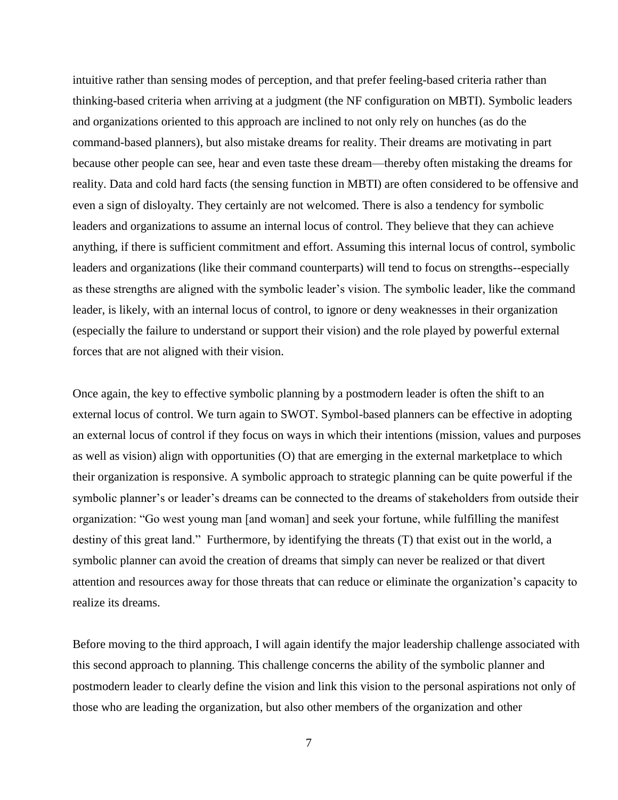intuitive rather than sensing modes of perception, and that prefer feeling-based criteria rather than thinking-based criteria when arriving at a judgment (the NF configuration on MBTI). Symbolic leaders and organizations oriented to this approach are inclined to not only rely on hunches (as do the command-based planners), but also mistake dreams for reality. Their dreams are motivating in part because other people can see, hear and even taste these dream—thereby often mistaking the dreams for reality. Data and cold hard facts (the sensing function in MBTI) are often considered to be offensive and even a sign of disloyalty. They certainly are not welcomed. There is also a tendency for symbolic leaders and organizations to assume an internal locus of control. They believe that they can achieve anything, if there is sufficient commitment and effort. Assuming this internal locus of control, symbolic leaders and organizations (like their command counterparts) will tend to focus on strengths--especially as these strengths are aligned with the symbolic leader's vision. The symbolic leader, like the command leader, is likely, with an internal locus of control, to ignore or deny weaknesses in their organization (especially the failure to understand or support their vision) and the role played by powerful external forces that are not aligned with their vision.

Once again, the key to effective symbolic planning by a postmodern leader is often the shift to an external locus of control. We turn again to SWOT. Symbol-based planners can be effective in adopting an external locus of control if they focus on ways in which their intentions (mission, values and purposes as well as vision) align with opportunities (O) that are emerging in the external marketplace to which their organization is responsive. A symbolic approach to strategic planning can be quite powerful if the symbolic planner's or leader's dreams can be connected to the dreams of stakeholders from outside their organization: "Go west young man [and woman] and seek your fortune, while fulfilling the manifest destiny of this great land." Furthermore, by identifying the threats (T) that exist out in the world, a symbolic planner can avoid the creation of dreams that simply can never be realized or that divert attention and resources away for those threats that can reduce or eliminate the organization's capacity to realize its dreams.

Before moving to the third approach, I will again identify the major leadership challenge associated with this second approach to planning. This challenge concerns the ability of the symbolic planner and postmodern leader to clearly define the vision and link this vision to the personal aspirations not only of those who are leading the organization, but also other members of the organization and other

7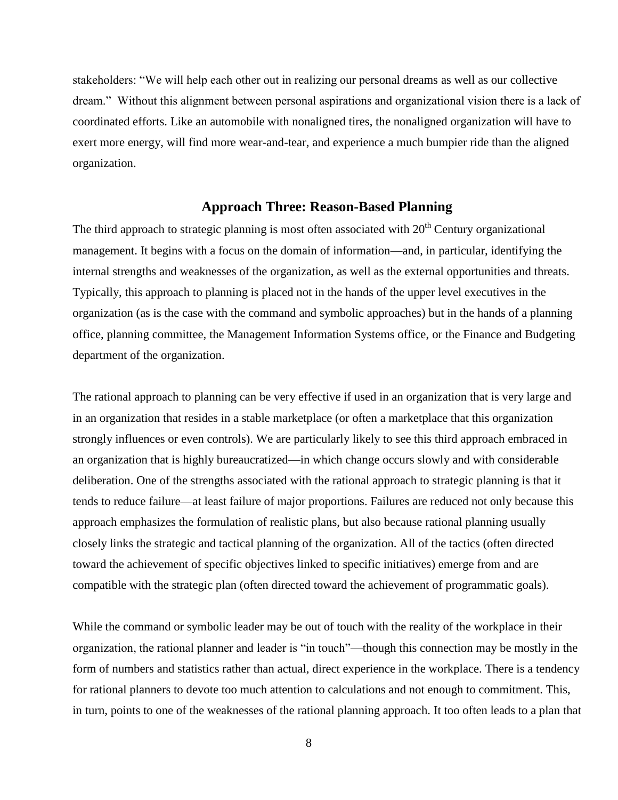stakeholders: "We will help each other out in realizing our personal dreams as well as our collective dream.‖ Without this alignment between personal aspirations and organizational vision there is a lack of coordinated efforts. Like an automobile with nonaligned tires, the nonaligned organization will have to exert more energy, will find more wear-and-tear, and experience a much bumpier ride than the aligned organization.

#### **Approach Three: Reason-Based Planning**

The third approach to strategic planning is most often associated with  $20<sup>th</sup>$  Century organizational management. It begins with a focus on the domain of information—and, in particular, identifying the internal strengths and weaknesses of the organization, as well as the external opportunities and threats. Typically, this approach to planning is placed not in the hands of the upper level executives in the organization (as is the case with the command and symbolic approaches) but in the hands of a planning office, planning committee, the Management Information Systems office, or the Finance and Budgeting department of the organization.

The rational approach to planning can be very effective if used in an organization that is very large and in an organization that resides in a stable marketplace (or often a marketplace that this organization strongly influences or even controls). We are particularly likely to see this third approach embraced in an organization that is highly bureaucratized—in which change occurs slowly and with considerable deliberation. One of the strengths associated with the rational approach to strategic planning is that it tends to reduce failure—at least failure of major proportions. Failures are reduced not only because this approach emphasizes the formulation of realistic plans, but also because rational planning usually closely links the strategic and tactical planning of the organization. All of the tactics (often directed toward the achievement of specific objectives linked to specific initiatives) emerge from and are compatible with the strategic plan (often directed toward the achievement of programmatic goals).

While the command or symbolic leader may be out of touch with the reality of the workplace in their organization, the rational planner and leader is "in touch"—though this connection may be mostly in the form of numbers and statistics rather than actual, direct experience in the workplace. There is a tendency for rational planners to devote too much attention to calculations and not enough to commitment. This, in turn, points to one of the weaknesses of the rational planning approach. It too often leads to a plan that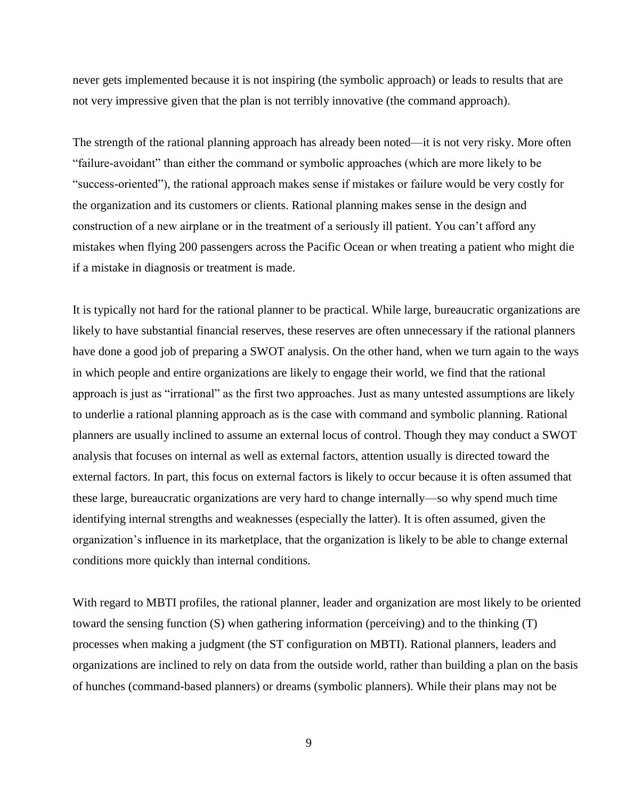never gets implemented because it is not inspiring (the symbolic approach) or leads to results that are not very impressive given that the plan is not terribly innovative (the command approach).

The strength of the rational planning approach has already been noted—it is not very risky. More often ―failure-avoidant‖ than either the command or symbolic approaches (which are more likely to be ―success-oriented‖), the rational approach makes sense if mistakes or failure would be very costly for the organization and its customers or clients. Rational planning makes sense in the design and construction of a new airplane or in the treatment of a seriously ill patient. You can't afford any mistakes when flying 200 passengers across the Pacific Ocean or when treating a patient who might die if a mistake in diagnosis or treatment is made.

It is typically not hard for the rational planner to be practical. While large, bureaucratic organizations are likely to have substantial financial reserves, these reserves are often unnecessary if the rational planners have done a good job of preparing a SWOT analysis. On the other hand, when we turn again to the ways in which people and entire organizations are likely to engage their world, we find that the rational approach is just as "irrational" as the first two approaches. Just as many untested assumptions are likely to underlie a rational planning approach as is the case with command and symbolic planning. Rational planners are usually inclined to assume an external locus of control. Though they may conduct a SWOT analysis that focuses on internal as well as external factors, attention usually is directed toward the external factors. In part, this focus on external factors is likely to occur because it is often assumed that these large, bureaucratic organizations are very hard to change internally—so why spend much time identifying internal strengths and weaknesses (especially the latter). It is often assumed, given the organization's influence in its marketplace, that the organization is likely to be able to change external conditions more quickly than internal conditions.

With regard to MBTI profiles, the rational planner, leader and organization are most likely to be oriented toward the sensing function (S) when gathering information (perceiving) and to the thinking (T) processes when making a judgment (the ST configuration on MBTI). Rational planners, leaders and organizations are inclined to rely on data from the outside world, rather than building a plan on the basis of hunches (command-based planners) or dreams (symbolic planners). While their plans may not be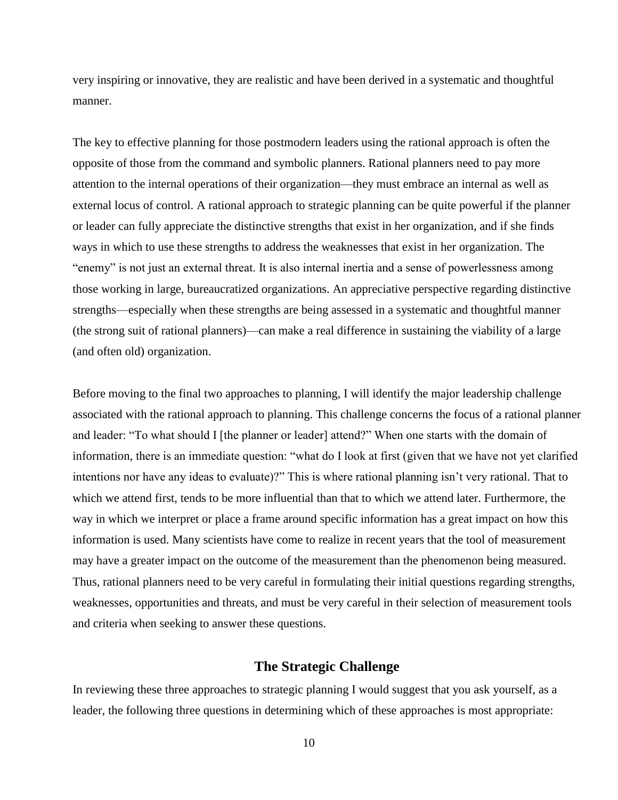very inspiring or innovative, they are realistic and have been derived in a systematic and thoughtful manner.

The key to effective planning for those postmodern leaders using the rational approach is often the opposite of those from the command and symbolic planners. Rational planners need to pay more attention to the internal operations of their organization—they must embrace an internal as well as external locus of control. A rational approach to strategic planning can be quite powerful if the planner or leader can fully appreciate the distinctive strengths that exist in her organization, and if she finds ways in which to use these strengths to address the weaknesses that exist in her organization. The "enemy" is not just an external threat. It is also internal inertia and a sense of powerlessness among those working in large, bureaucratized organizations. An appreciative perspective regarding distinctive strengths—especially when these strengths are being assessed in a systematic and thoughtful manner (the strong suit of rational planners)—can make a real difference in sustaining the viability of a large (and often old) organization.

Before moving to the final two approaches to planning, I will identify the major leadership challenge associated with the rational approach to planning. This challenge concerns the focus of a rational planner and leader: "To what should I [the planner or leader] attend?" When one starts with the domain of information, there is an immediate question: "what do I look at first (given that we have not yet clarified intentions nor have any ideas to evaluate)?" This is where rational planning isn't very rational. That to which we attend first, tends to be more influential than that to which we attend later. Furthermore, the way in which we interpret or place a frame around specific information has a great impact on how this information is used. Many scientists have come to realize in recent years that the tool of measurement may have a greater impact on the outcome of the measurement than the phenomenon being measured. Thus, rational planners need to be very careful in formulating their initial questions regarding strengths, weaknesses, opportunities and threats, and must be very careful in their selection of measurement tools and criteria when seeking to answer these questions.

### **The Strategic Challenge**

In reviewing these three approaches to strategic planning I would suggest that you ask yourself, as a leader, the following three questions in determining which of these approaches is most appropriate: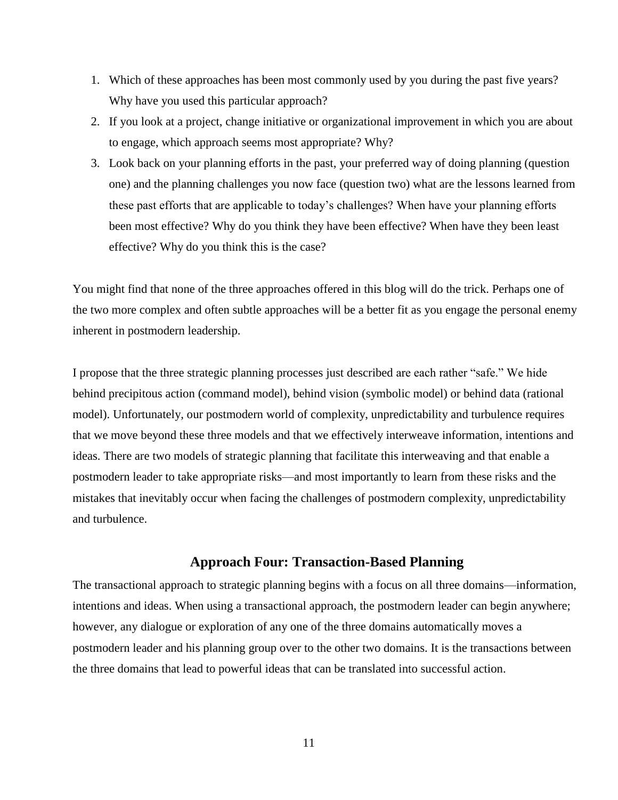- 1. Which of these approaches has been most commonly used by you during the past five years? Why have you used this particular approach?
- 2. If you look at a project, change initiative or organizational improvement in which you are about to engage, which approach seems most appropriate? Why?
- 3. Look back on your planning efforts in the past, your preferred way of doing planning (question one) and the planning challenges you now face (question two) what are the lessons learned from these past efforts that are applicable to today's challenges? When have your planning efforts been most effective? Why do you think they have been effective? When have they been least effective? Why do you think this is the case?

You might find that none of the three approaches offered in this blog will do the trick. Perhaps one of the two more complex and often subtle approaches will be a better fit as you engage the personal enemy inherent in postmodern leadership.

I propose that the three strategic planning processes just described are each rather "safe." We hide behind precipitous action (command model), behind vision (symbolic model) or behind data (rational model). Unfortunately, our postmodern world of complexity, unpredictability and turbulence requires that we move beyond these three models and that we effectively interweave information, intentions and ideas. There are two models of strategic planning that facilitate this interweaving and that enable a postmodern leader to take appropriate risks—and most importantly to learn from these risks and the mistakes that inevitably occur when facing the challenges of postmodern complexity, unpredictability and turbulence.

## **Approach Four: Transaction-Based Planning**

The transactional approach to strategic planning begins with a focus on all three domains—information, intentions and ideas. When using a transactional approach, the postmodern leader can begin anywhere; however, any dialogue or exploration of any one of the three domains automatically moves a postmodern leader and his planning group over to the other two domains. It is the transactions between the three domains that lead to powerful ideas that can be translated into successful action.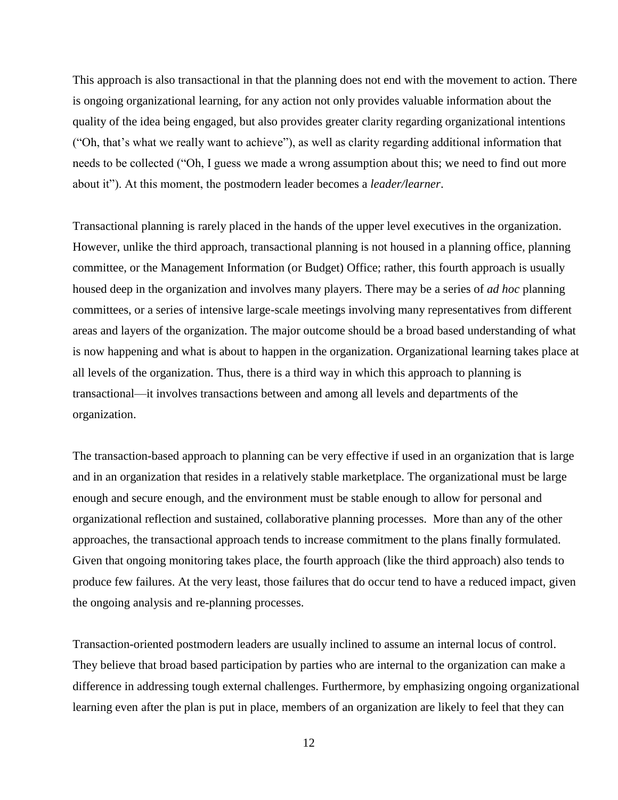This approach is also transactional in that the planning does not end with the movement to action. There is ongoing organizational learning, for any action not only provides valuable information about the quality of the idea being engaged, but also provides greater clarity regarding organizational intentions (―Oh, that's what we really want to achieve‖), as well as clarity regarding additional information that needs to be collected ("Oh, I guess we made a wrong assumption about this; we need to find out more about it"). At this moment, the postmodern leader becomes a *leader/learner*.

Transactional planning is rarely placed in the hands of the upper level executives in the organization. However, unlike the third approach, transactional planning is not housed in a planning office, planning committee, or the Management Information (or Budget) Office; rather, this fourth approach is usually housed deep in the organization and involves many players. There may be a series of *ad hoc* planning committees, or a series of intensive large-scale meetings involving many representatives from different areas and layers of the organization. The major outcome should be a broad based understanding of what is now happening and what is about to happen in the organization. Organizational learning takes place at all levels of the organization. Thus, there is a third way in which this approach to planning is transactional—it involves transactions between and among all levels and departments of the organization.

The transaction-based approach to planning can be very effective if used in an organization that is large and in an organization that resides in a relatively stable marketplace. The organizational must be large enough and secure enough, and the environment must be stable enough to allow for personal and organizational reflection and sustained, collaborative planning processes. More than any of the other approaches, the transactional approach tends to increase commitment to the plans finally formulated. Given that ongoing monitoring takes place, the fourth approach (like the third approach) also tends to produce few failures. At the very least, those failures that do occur tend to have a reduced impact, given the ongoing analysis and re-planning processes.

Transaction-oriented postmodern leaders are usually inclined to assume an internal locus of control. They believe that broad based participation by parties who are internal to the organization can make a difference in addressing tough external challenges. Furthermore, by emphasizing ongoing organizational learning even after the plan is put in place, members of an organization are likely to feel that they can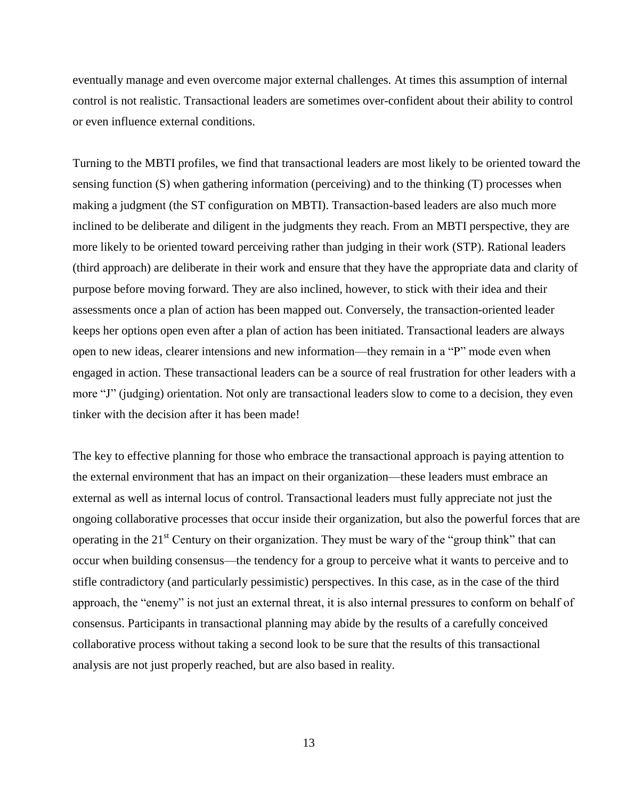eventually manage and even overcome major external challenges. At times this assumption of internal control is not realistic. Transactional leaders are sometimes over-confident about their ability to control or even influence external conditions.

Turning to the MBTI profiles, we find that transactional leaders are most likely to be oriented toward the sensing function (S) when gathering information (perceiving) and to the thinking (T) processes when making a judgment (the ST configuration on MBTI). Transaction-based leaders are also much more inclined to be deliberate and diligent in the judgments they reach. From an MBTI perspective, they are more likely to be oriented toward perceiving rather than judging in their work (STP). Rational leaders (third approach) are deliberate in their work and ensure that they have the appropriate data and clarity of purpose before moving forward. They are also inclined, however, to stick with their idea and their assessments once a plan of action has been mapped out. Conversely, the transaction-oriented leader keeps her options open even after a plan of action has been initiated. Transactional leaders are always open to new ideas, clearer intensions and new information—they remain in a "P" mode even when engaged in action. These transactional leaders can be a source of real frustration for other leaders with a more "J" (judging) orientation. Not only are transactional leaders slow to come to a decision, they even tinker with the decision after it has been made!

The key to effective planning for those who embrace the transactional approach is paying attention to the external environment that has an impact on their organization—these leaders must embrace an external as well as internal locus of control. Transactional leaders must fully appreciate not just the ongoing collaborative processes that occur inside their organization, but also the powerful forces that are operating in the  $21<sup>st</sup>$  Century on their organization. They must be wary of the "group think" that can occur when building consensus—the tendency for a group to perceive what it wants to perceive and to stifle contradictory (and particularly pessimistic) perspectives. In this case, as in the case of the third approach, the "enemy" is not just an external threat, it is also internal pressures to conform on behalf of consensus. Participants in transactional planning may abide by the results of a carefully conceived collaborative process without taking a second look to be sure that the results of this transactional analysis are not just properly reached, but are also based in reality.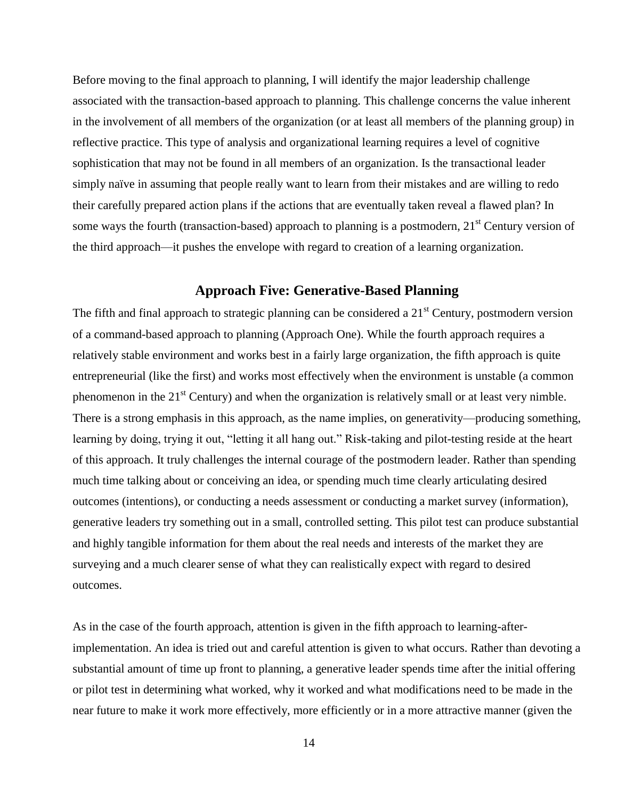Before moving to the final approach to planning, I will identify the major leadership challenge associated with the transaction-based approach to planning. This challenge concerns the value inherent in the involvement of all members of the organization (or at least all members of the planning group) in reflective practice. This type of analysis and organizational learning requires a level of cognitive sophistication that may not be found in all members of an organization. Is the transactional leader simply naïve in assuming that people really want to learn from their mistakes and are willing to redo their carefully prepared action plans if the actions that are eventually taken reveal a flawed plan? In some ways the fourth (transaction-based) approach to planning is a postmodern,  $21<sup>st</sup>$  Century version of the third approach—it pushes the envelope with regard to creation of a learning organization.

## **Approach Five: Generative-Based Planning**

The fifth and final approach to strategic planning can be considered a  $21<sup>st</sup>$  Century, postmodern version of a command-based approach to planning (Approach One). While the fourth approach requires a relatively stable environment and works best in a fairly large organization, the fifth approach is quite entrepreneurial (like the first) and works most effectively when the environment is unstable (a common phenomenon in the  $21<sup>st</sup>$  Century) and when the organization is relatively small or at least very nimble. There is a strong emphasis in this approach, as the name implies, on generativity—producing something, learning by doing, trying it out, "letting it all hang out." Risk-taking and pilot-testing reside at the heart of this approach. It truly challenges the internal courage of the postmodern leader. Rather than spending much time talking about or conceiving an idea, or spending much time clearly articulating desired outcomes (intentions), or conducting a needs assessment or conducting a market survey (information), generative leaders try something out in a small, controlled setting. This pilot test can produce substantial and highly tangible information for them about the real needs and interests of the market they are surveying and a much clearer sense of what they can realistically expect with regard to desired outcomes.

As in the case of the fourth approach, attention is given in the fifth approach to learning-afterimplementation. An idea is tried out and careful attention is given to what occurs. Rather than devoting a substantial amount of time up front to planning, a generative leader spends time after the initial offering or pilot test in determining what worked, why it worked and what modifications need to be made in the near future to make it work more effectively, more efficiently or in a more attractive manner (given the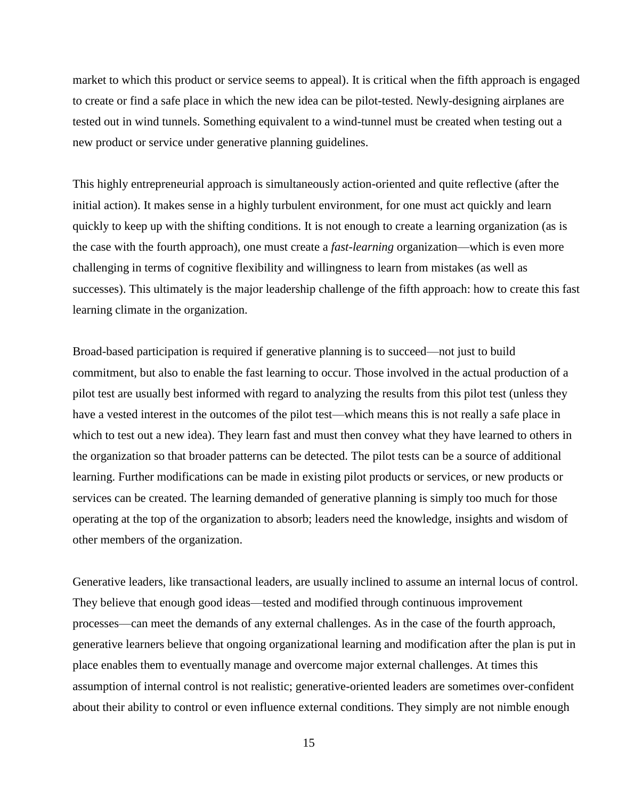market to which this product or service seems to appeal). It is critical when the fifth approach is engaged to create or find a safe place in which the new idea can be pilot-tested. Newly-designing airplanes are tested out in wind tunnels. Something equivalent to a wind-tunnel must be created when testing out a new product or service under generative planning guidelines.

This highly entrepreneurial approach is simultaneously action-oriented and quite reflective (after the initial action). It makes sense in a highly turbulent environment, for one must act quickly and learn quickly to keep up with the shifting conditions. It is not enough to create a learning organization (as is the case with the fourth approach), one must create a *fast-learning* organization—which is even more challenging in terms of cognitive flexibility and willingness to learn from mistakes (as well as successes). This ultimately is the major leadership challenge of the fifth approach: how to create this fast learning climate in the organization.

Broad-based participation is required if generative planning is to succeed—not just to build commitment, but also to enable the fast learning to occur. Those involved in the actual production of a pilot test are usually best informed with regard to analyzing the results from this pilot test (unless they have a vested interest in the outcomes of the pilot test—which means this is not really a safe place in which to test out a new idea). They learn fast and must then convey what they have learned to others in the organization so that broader patterns can be detected. The pilot tests can be a source of additional learning. Further modifications can be made in existing pilot products or services, or new products or services can be created. The learning demanded of generative planning is simply too much for those operating at the top of the organization to absorb; leaders need the knowledge, insights and wisdom of other members of the organization.

Generative leaders, like transactional leaders, are usually inclined to assume an internal locus of control. They believe that enough good ideas—tested and modified through continuous improvement processes—can meet the demands of any external challenges. As in the case of the fourth approach, generative learners believe that ongoing organizational learning and modification after the plan is put in place enables them to eventually manage and overcome major external challenges. At times this assumption of internal control is not realistic; generative-oriented leaders are sometimes over-confident about their ability to control or even influence external conditions. They simply are not nimble enough

15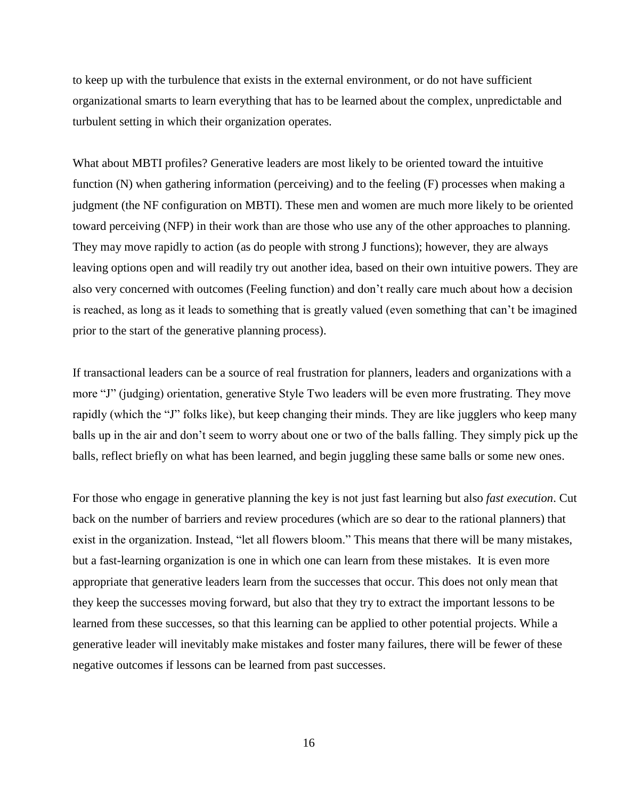to keep up with the turbulence that exists in the external environment, or do not have sufficient organizational smarts to learn everything that has to be learned about the complex, unpredictable and turbulent setting in which their organization operates.

What about MBTI profiles? Generative leaders are most likely to be oriented toward the intuitive function (N) when gathering information (perceiving) and to the feeling (F) processes when making a judgment (the NF configuration on MBTI). These men and women are much more likely to be oriented toward perceiving (NFP) in their work than are those who use any of the other approaches to planning. They may move rapidly to action (as do people with strong J functions); however, they are always leaving options open and will readily try out another idea, based on their own intuitive powers. They are also very concerned with outcomes (Feeling function) and don't really care much about how a decision is reached, as long as it leads to something that is greatly valued (even something that can't be imagined prior to the start of the generative planning process).

If transactional leaders can be a source of real frustration for planners, leaders and organizations with a more "J" (judging) orientation, generative Style Two leaders will be even more frustrating. They move rapidly (which the "J" folks like), but keep changing their minds. They are like jugglers who keep many balls up in the air and don't seem to worry about one or two of the balls falling. They simply pick up the balls, reflect briefly on what has been learned, and begin juggling these same balls or some new ones.

For those who engage in generative planning the key is not just fast learning but also *fast execution*. Cut back on the number of barriers and review procedures (which are so dear to the rational planners) that exist in the organization. Instead, "let all flowers bloom." This means that there will be many mistakes, but a fast-learning organization is one in which one can learn from these mistakes. It is even more appropriate that generative leaders learn from the successes that occur. This does not only mean that they keep the successes moving forward, but also that they try to extract the important lessons to be learned from these successes, so that this learning can be applied to other potential projects. While a generative leader will inevitably make mistakes and foster many failures, there will be fewer of these negative outcomes if lessons can be learned from past successes.